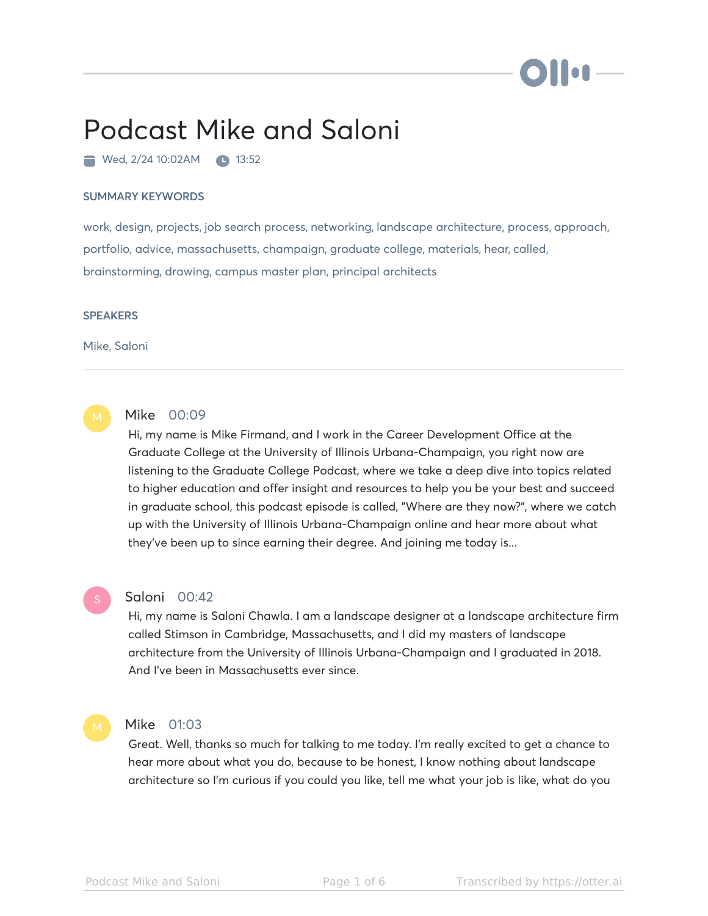# Hon

# Podcast Mike and Saloni

Wed, 2/24 10:02AM 13:52

#### SUMMARY KEYWORDS

work, design, projects, job search process, networking, landscape architecture, process, approach, portfolio, advice, massachusetts, champaign, graduate college, materials, hear, called, brainstorming, drawing, campus master plan, principal architects

#### **SPEAKERS**

Mike, Saloni



# Mike 00:09

Hi, my name is Mike Firmand, and I work in the Career Development Office at the Graduate College at the University of Illinois Urbana-Champaign, you right now are listening to the Graduate College Podcast, where we take a deep dive into topics related to higher education and offer insight and resources to help you be your best and succeed in graduate school, this podcast episode is called, "Where are they now?", where we catch up with the University of Illinois Urbana-Champaign online and hear more about what they've been up to since earning their degree. And joining me today is...

# Saloni 00:42

Hi, my name is Saloni Chawla. I am a landscape designer at a landscape architecture firm called Stimson in Cambridge, Massachusetts, and I did my masters of landscape architecture from the University of Illinois Urbana-Champaign and I graduated in 2018. And I've been in Massachusetts ever since.

Mike 01:03

Great. Well, thanks so much for talking to me today. I'm really excited to get a chance to hear more about what you do, because to be honest, I know nothing about landscape architecture so I'm curious if you could you like, tell me what your job is like, what do you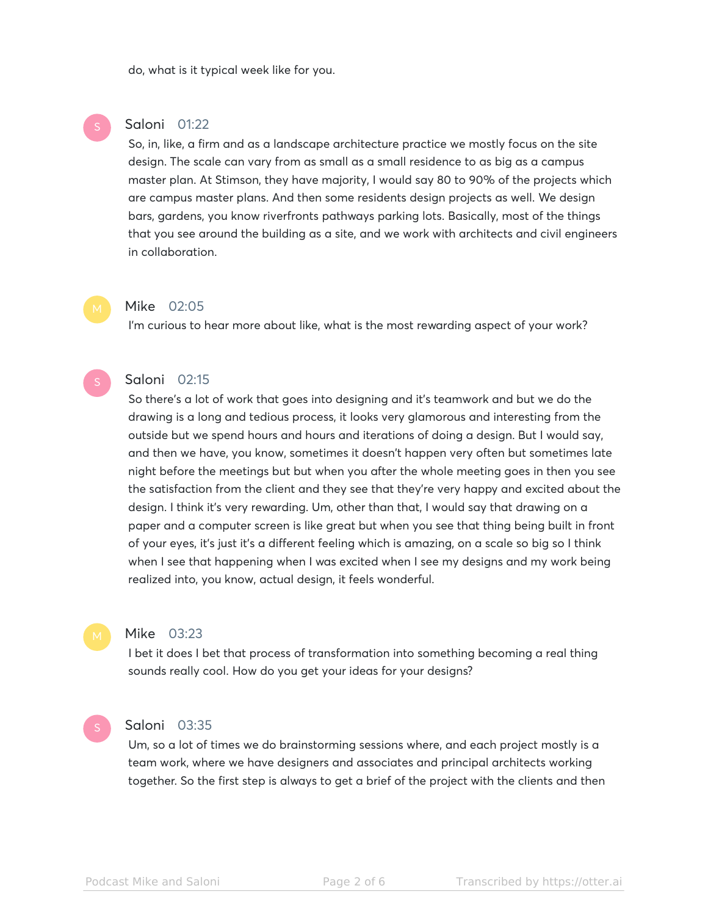do, what is it typical week like for you.

# Saloni 01:22

So, in, like, a firm and as a landscape architecture practice we mostly focus on the site design. The scale can vary from as small as a small residence to as big as a campus master plan. At Stimson, they have majority, I would say 80 to 90% of the projects which are campus master plans. And then some residents design projects as well. We design bars, gardens, you know riverfronts pathways parking lots. Basically, most of the things that you see around the building as a site, and we work with architects and civil engineers in collaboration.

#### Mike 02:05

I'm curious to hear more about like, what is the most rewarding aspect of your work?

# Saloni 02:15

So there's a lot of work that goes into designing and it's teamwork and but we do the drawing is a long and tedious process, it looks very glamorous and interesting from the outside but we spend hours and hours and iterations of doing a design. But I would say, and then we have, you know, sometimes it doesn't happen very often but sometimes late night before the meetings but but when you after the whole meeting goes in then you see the satisfaction from the client and they see that they're very happy and excited about the design. I think it's very rewarding. Um, other than that, I would say that drawing on a paper and a computer screen is like great but when you see that thing being built in front of your eyes, it's just it's a different feeling which is amazing, on a scale so big so I think when I see that happening when I was excited when I see my designs and my work being realized into, you know, actual design, it feels wonderful.

### Mike 03:23

I bet it does I bet that process of transformation into something becoming a real thing sounds really cool. How do you get your ideas for your designs?

# Saloni 03:35

Um, so a lot of times we do brainstorming sessions where, and each project mostly is a team work, where we have designers and associates and principal architects working together. So the first step is always to get a brief of the project with the clients and then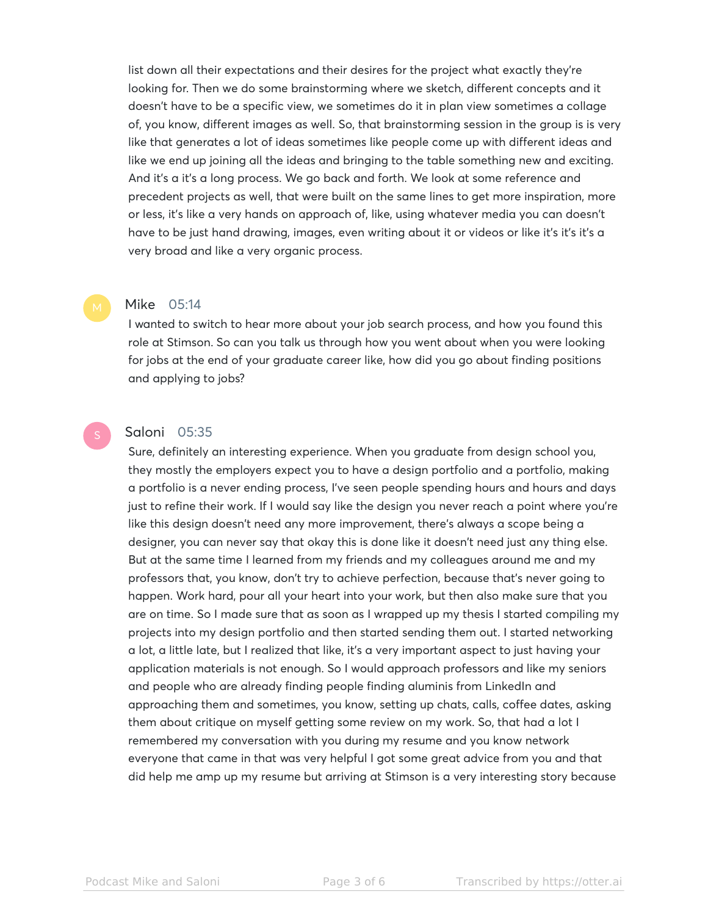list down all their expectations and their desires for the project what exactly they're looking for. Then we do some brainstorming where we sketch, different concepts and it doesn't have to be a specific view, we sometimes do it in plan view sometimes a collage of, you know, different images as well. So, that brainstorming session in the group is is very like that generates a lot of ideas sometimes like people come up with different ideas and like we end up joining all the ideas and bringing to the table something new and exciting. And it's a it's a long process. We go back and forth. We look at some reference and precedent projects as well, that were built on the same lines to get more inspiration, more or less, it's like a very hands on approach of, like, using whatever media you can doesn't have to be just hand drawing, images, even writing about it or videos or like it's it's it's a very broad and like a very organic process.

#### Mike 05:14

I wanted to switch to hear more about your job search process, and how you found this role at Stimson. So can you talk us through how you went about when you were looking for jobs at the end of your graduate career like, how did you go about finding positions and applying to jobs?

## Saloni 05:35

Sure, definitely an interesting experience. When you graduate from design school you, they mostly the employers expect you to have a design portfolio and a portfolio, making a portfolio is a never ending process, I've seen people spending hours and hours and days just to refine their work. If I would say like the design you never reach a point where you're like this design doesn't need any more improvement, there's always a scope being a designer, you can never say that okay this is done like it doesn't need just any thing else. But at the same time I learned from my friends and my colleagues around me and my professors that, you know, don't try to achieve perfection, because that's never going to happen. Work hard, pour all your heart into your work, but then also make sure that you are on time. So I made sure that as soon as I wrapped up my thesis I started compiling my projects into my design portfolio and then started sending them out. I started networking a lot, a little late, but I realized that like, it's a very important aspect to just having your application materials is not enough. So I would approach professors and like my seniors and people who are already finding people finding aluminis from LinkedIn and approaching them and sometimes, you know, setting up chats, calls, coffee dates, asking them about critique on myself getting some review on my work. So, that had a lot I remembered my conversation with you during my resume and you know network everyone that came in that was very helpful I got some great advice from you and that did help me amp up my resume but arriving at Stimson is a very interesting story because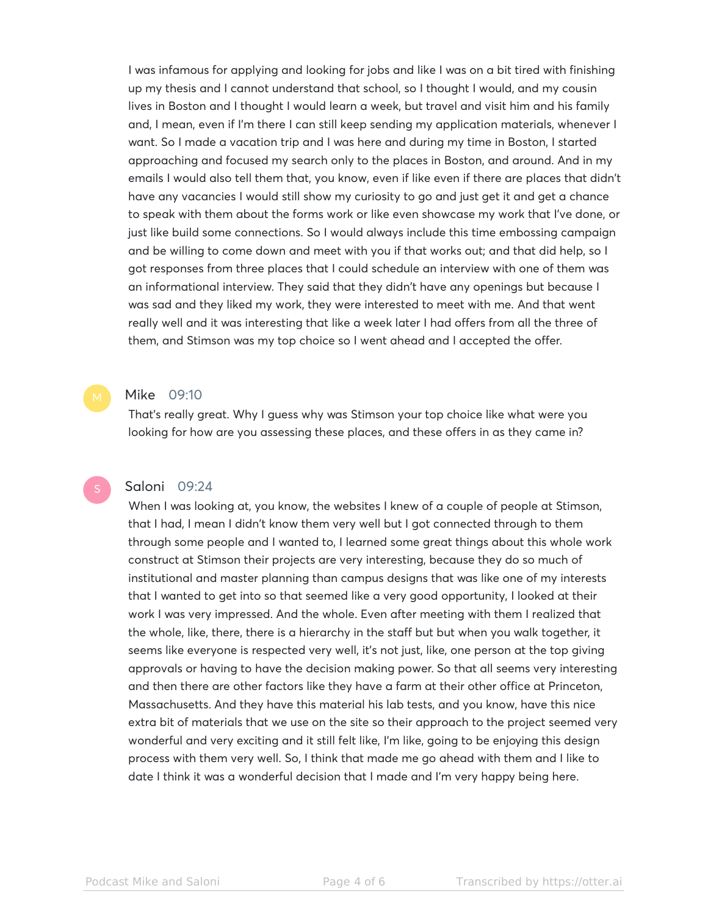I was infamous for applying and looking for jobs and like I was on a bit tired with finishing up my thesis and I cannot understand that school, so I thought I would, and my cousin lives in Boston and I thought I would learn a week, but travel and visit him and his family and, I mean, even if I'm there I can still keep sending my application materials, whenever I want. So I made a vacation trip and I was here and during my time in Boston, I started approaching and focused my search only to the places in Boston, and around. And in my emails I would also tell them that, you know, even if like even if there are places that didn't have any vacancies I would still show my curiosity to go and just get it and get a chance to speak with them about the forms work or like even showcase my work that I've done, or just like build some connections. So I would always include this time embossing campaign and be willing to come down and meet with you if that works out; and that did help, so I got responses from three places that I could schedule an interview with one of them was an informational interview. They said that they didn't have any openings but because I was sad and they liked my work, they were interested to meet with me. And that went really well and it was interesting that like a week later I had offers from all the three of them, and Stimson was my top choice so I went ahead and I accepted the offer.

#### Mike 09:10

That's really great. Why I guess why was Stimson your top choice like what were you looking for how are you assessing these places, and these offers in as they came in?

Saloni 09:24

When I was looking at, you know, the websites I knew of a couple of people at Stimson, that I had, I mean I didn't know them very well but I got connected through to them through some people and I wanted to, I learned some great things about this whole work construct at Stimson their projects are very interesting, because they do so much of institutional and master planning than campus designs that was like one of my interests that I wanted to get into so that seemed like a very good opportunity, I looked at their work I was very impressed. And the whole. Even after meeting with them I realized that the whole, like, there, there is a hierarchy in the staff but but when you walk together, it seems like everyone is respected very well, it's not just, like, one person at the top giving approvals or having to have the decision making power. So that all seems very interesting and then there are other factors like they have a farm at their other office at Princeton, Massachusetts. And they have this material his lab tests, and you know, have this nice extra bit of materials that we use on the site so their approach to the project seemed very wonderful and very exciting and it still felt like, I'm like, going to be enjoying this design process with them very well. So, I think that made me go ahead with them and I like to date I think it was a wonderful decision that I made and I'm very happy being here.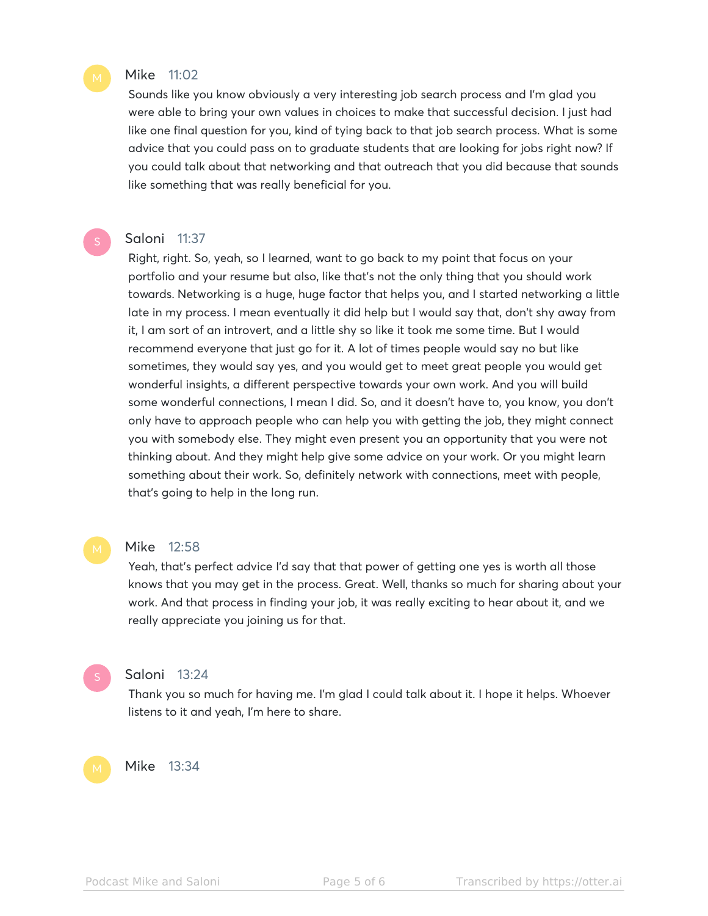## Mike 11:02

Sounds like you know obviously a very interesting job search process and I'm glad you were able to bring your own values in choices to make that successful decision. I just had like one final question for you, kind of tying back to that job search process. What is some advice that you could pass on to graduate students that are looking for jobs right now? If you could talk about that networking and that outreach that you did because that sounds like something that was really beneficial for you.

#### Saloni 11:37

Right, right. So, yeah, so I learned, want to go back to my point that focus on your portfolio and your resume but also, like that's not the only thing that you should work towards. Networking is a huge, huge factor that helps you, and I started networking a little late in my process. I mean eventually it did help but I would say that, don't shy away from it, I am sort of an introvert, and a little shy so like it took me some time. But I would recommend everyone that just go for it. A lot of times people would say no but like sometimes, they would say yes, and you would get to meet great people you would get wonderful insights, a different perspective towards your own work. And you will build some wonderful connections, I mean I did. So, and it doesn't have to, you know, you don't only have to approach people who can help you with getting the job, they might connect you with somebody else. They might even present you an opportunity that you were not thinking about. And they might help give some advice on your work. Or you might learn something about their work. So, definitely network with connections, meet with people, that's going to help in the long run.

### Mike 12:58

Yeah, that's perfect advice I'd say that that power of getting one yes is worth all those knows that you may get in the process. Great. Well, thanks so much for sharing about your work. And that process in finding your job, it was really exciting to hear about it, and we really appreciate you joining us for that.

Saloni 13:24

Thank you so much for having me. I'm glad I could talk about it. I hope it helps. Whoever listens to it and yeah, I'm here to share.

# Mike 13:34